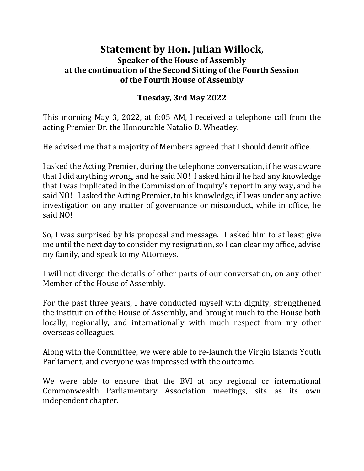## **Statement by Hon. Julian Willock, Speaker of the House of Assembly at the continuation of the Second Sitting of the Fourth Session of the Fourth House of Assembly**

## **Tuesday, 3rd May 2022**

This morning May 3, 2022, at 8:05 AM, I received a telephone call from the acting Premier Dr. the Honourable Natalio D. Wheatley.

He advised me that a majority of Members agreed that I should demit office.

I asked the Acting Premier, during the telephone conversation, if he was aware that I did anything wrong, and he said NO! I asked him if he had any knowledge that I was implicated in the Commission of Inquiry's report in any way, and he said NO! I asked the Acting Premier, to his knowledge, if I was under any active investigation on any matter of governance or misconduct, while in office, he said NO!

So, I was surprised by his proposal and message. I asked him to at least give me until the next day to consider my resignation, so I can clear my office, advise my family, and speak to my Attorneys.

I will not diverge the details of other parts of our conversation, on any other Member of the House of Assembly.

For the past three years, I have conducted myself with dignity, strengthened the institution of the House of Assembly, and brought much to the House both locally, regionally, and internationally with much respect from my other overseas colleagues.

Along with the Committee, we were able to re-launch the Virgin Islands Youth Parliament, and everyone was impressed with the outcome.

We were able to ensure that the BVI at any regional or international Commonwealth Parliamentary Association meetings, sits as its own independent chapter.